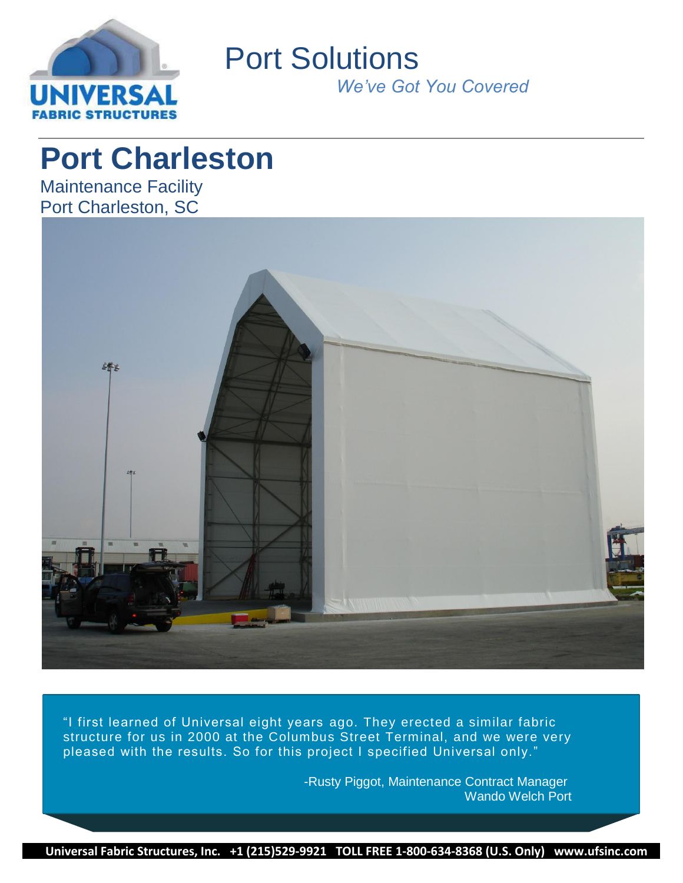

Port Solutions

*We've Got You Covered*

# **Port Charleston**

Maintenance Facility Port Charleston, SC



"I first learned of Universal eight years ago. They erected a similar fabric structure for us in 2000 at the Columbus Street Terminal, and we were very pleased with the results. So for this project I specified Universal only."

> -Rusty Piggot, Maintenance Contract Manager Wando Welch Port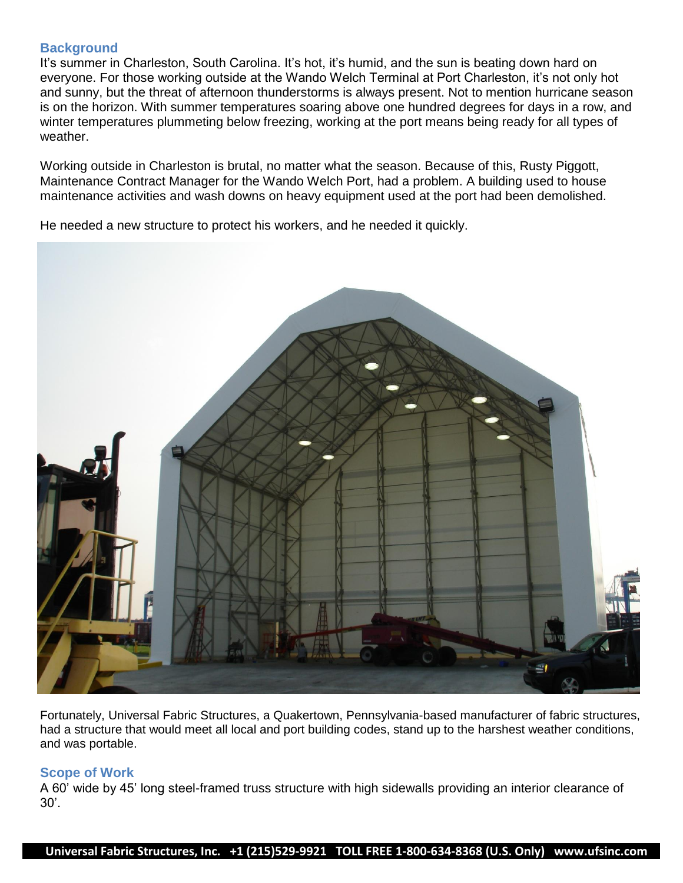### **Background**

It's summer in Charleston, South Carolina. It's hot, it's humid, and the sun is beating down hard on everyone. For those working outside at the Wando Welch Terminal at Port Charleston, it's not only hot and sunny, but the threat of afternoon thunderstorms is always present. Not to mention hurricane season is on the horizon. With summer temperatures soaring above one hundred degrees for days in a row, and winter temperatures plummeting below freezing, working at the port means being ready for all types of weather.

Working outside in Charleston is brutal, no matter what the season. Because of this, Rusty Piggott, Maintenance Contract Manager for the Wando Welch Port, had a problem. A building used to house maintenance activities and wash downs on heavy equipment used at the port had been demolished.

He needed a new structure to protect his workers, and he needed it quickly.



Fortunately, Universal Fabric Structures, a Quakertown, Pennsylvania-based manufacturer of fabric structures, had a structure that would meet all local and port building codes, stand up to the harshest weather conditions, and was portable.

#### **Scope of Work**

A 60' wide by 45' long steel-framed truss structure with high sidewalls providing an interior clearance of 30'.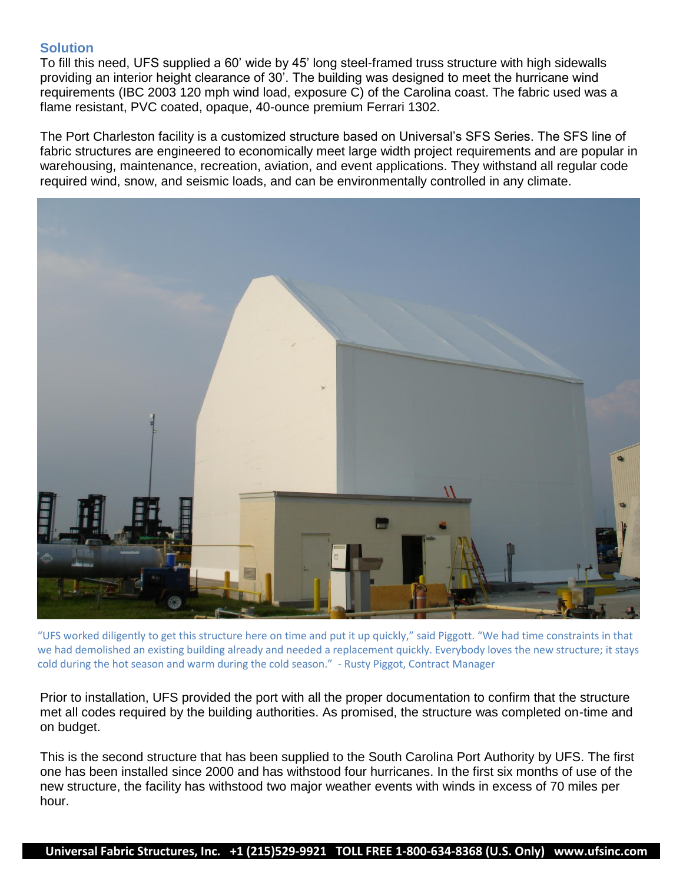## **Solution**

To fill this need, UFS supplied a 60' wide by 45' long steel-framed truss structure with high sidewalls providing an interior height clearance of 30'. The building was designed to meet the hurricane wind requirements (IBC 2003 120 mph wind load, exposure C) of the Carolina coast. The fabric used was a flame resistant, PVC coated, opaque, 40-ounce premium Ferrari 1302.

The Port Charleston facility is a customized structure based on Universal's SFS Series. The SFS line of fabric structures are engineered to economically meet large width project requirements and are popular in warehousing, maintenance, recreation, aviation, and event applications. They withstand all regular code required wind, snow, and seismic loads, and can be environmentally controlled in any climate.



"UFS worked diligently to get this structure here on time and put it up quickly," said Piggott. "We had time constraints in that we had demolished an existing building already and needed a replacement quickly. Everybody loves the new structure; it stays cold during the hot season and warm during the cold season." - Rusty Piggot, Contract Manager

Prior to installation, UFS provided the port with all the proper documentation to confirm that the structure met all codes required by the building authorities. As promised, the structure was completed on-time and on budget.

This is the second structure that has been supplied to the South Carolina Port Authority by UFS. The first one has been installed since 2000 and has withstood four hurricanes. In the first six months of use of the new structure, the facility has withstood two major weather events with winds in excess of 70 miles per hour.